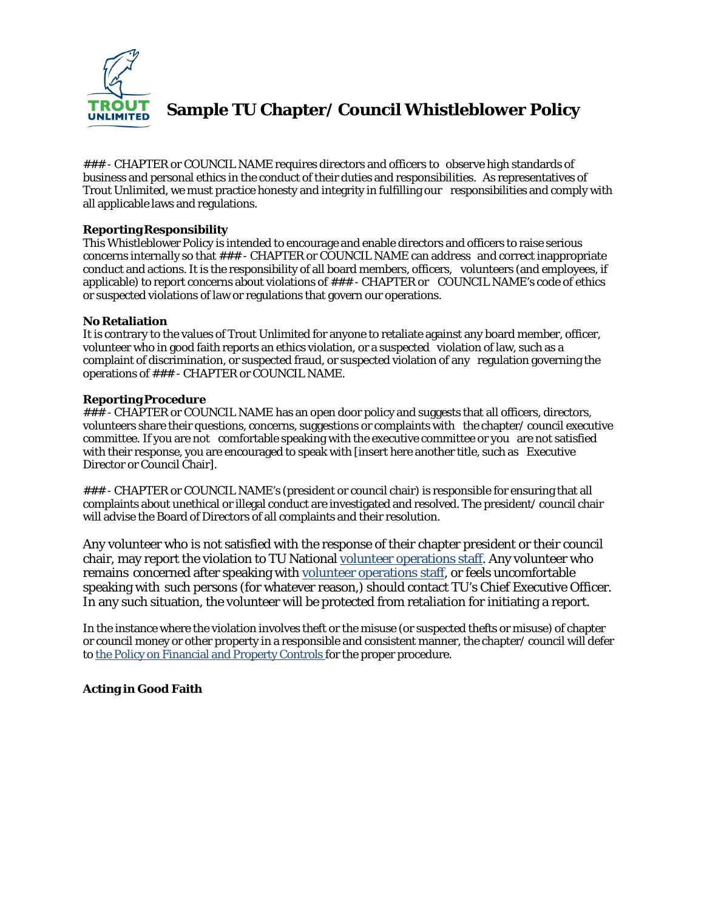

**Sample TU Chapter/ Council Whistleblower Policy**

### - CHAPTER or COUNCIL NAME requires directors and officers to observe high standards of business and personal ethics in the conduct of their duties and responsibilities. As representatives of Trout Unlimited, we must practice honesty and integrity in fulfilling our responsibilities and comply with all applicable laws and regulations.

## **ReportingResponsibility**

This Whistleblower Policy is intended to encourage and enable directors and officers to raise serious concerns internally so that ### - CHAPTER or COUNCIL NAME can address and correct inappropriate conduct and actions. It is the responsibility of all board members, officers, volunteers (and employees, if applicable) to report concerns about violations of ### - CHAPTER or COUNCIL NAME's code of ethics or suspected violations of law or regulations that govern our operations.

#### **No Retaliation**

It is contrary to the values of Trout Unlimited for anyone to retaliate against any board member, officer, volunteer who in good faith reports an ethics violation, or a suspected violation of law, such as a complaint of discrimination, or suspected fraud, or suspected violation of any regulation governing the operations of ### - CHAPTER or COUNCIL NAME.

#### **Reporting Procedure**

### - CHAPTER or COUNCIL NAME has an open door policy and suggests that all officers, directors, volunteers share their questions, concerns, suggestions or complaints with the chapter/ council executive committee. If you are not comfortable speaking with the executive committee or you are not satisfied with their response, you are encouraged to speak with [insert here another title, such as Executive Director or Council Chair].

### - CHAPTER or COUNCIL NAME's (president or council chair) is responsible for ensuring that all complaints about unethical or illegal conduct are investigated and resolved. The president/ council chair will advise the Board of Directors of all complaints and their resolution.

Any volunteer who is not satisfied with the response of their chapter president or their council chair, may report the violation to TU National volunteer [operations](http://www.tu.org/staff/volunteer-operations) staff. Any volunteer who remains concerned after speaking with volunteer [operations](http://www.tu.org/staff/volunteer-operations) staff, or feels uncomfortable speaking with such persons (for whatever reason,) should contact TU's Chief Executive Officer. In any such situation, the volunteer will be protected from retaliation for initiating a report.

In the instance where the violation involves theft or the misuse (or suspected thefts or misuse) of chapter or council money or other property in a responsible and consistent manner, the chapter/ council will defer to the Policy on [Financial](http://www.tu.org/sites/default/files/TU_Policy_on_Financial_Controls_September_2015.pdf) and Property Controls for the proper procedure.

## **Acting in Good Faith**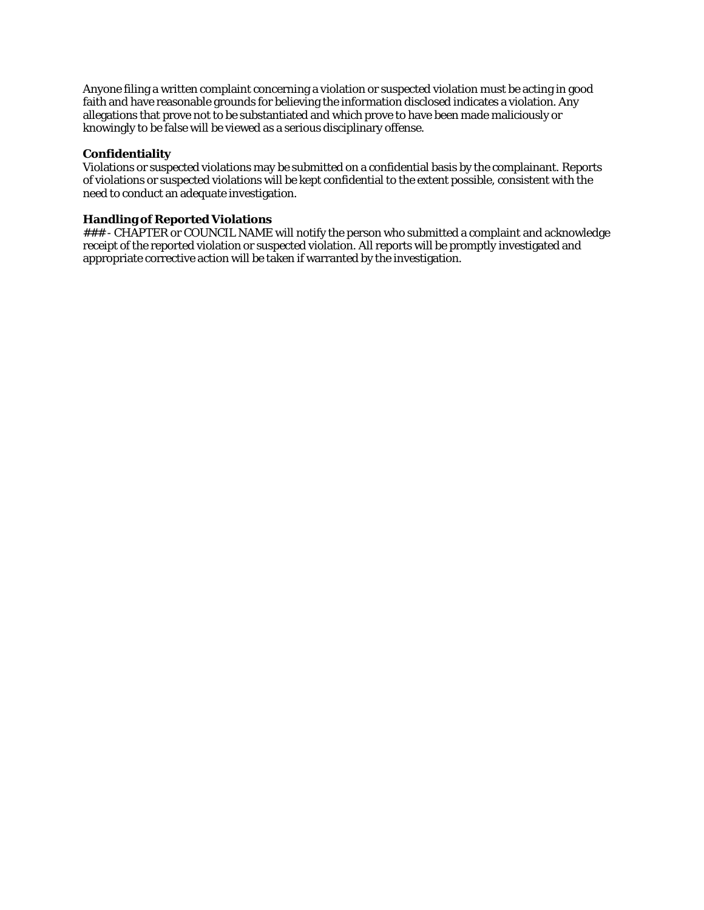Anyone filing a written complaint concerning a violation or suspected violation must be acting in good faith and have reasonable grounds for believing the information disclosed indicates a violation. Any allegations that prove not to be substantiated and which prove to have been made maliciously or knowingly to be false will be viewed as a serious disciplinary offense.

#### **Confidentiality**

Violations or suspected violations may be submitted on a confidential basis by the complainant. Reports of violations or suspected violations will be kept confidential to the extent possible, consistent with the need to conduct an adequate investigation.

#### **Handling of Reported Violations**

### - CHAPTER or COUNCIL NAME will notify the person who submitted a complaint and acknowledge receipt of the reported violation or suspected violation. All reports will be promptly investigated and appropriate corrective action will be taken if warranted by the investigation.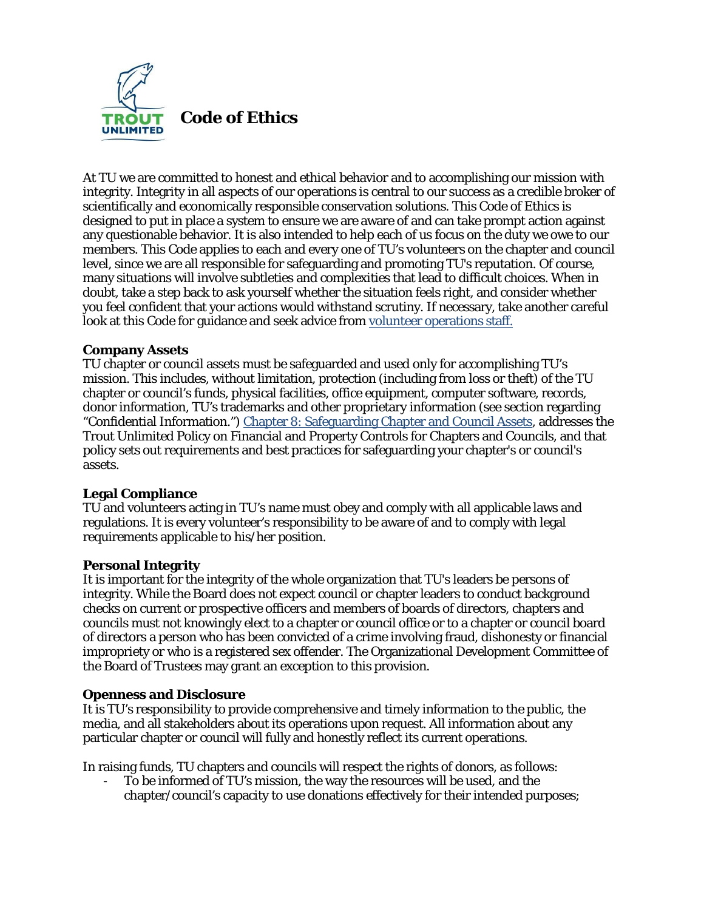

At TU we are committed to honest and ethical behavior and to accomplishing our mission with integrity. Integrity in all aspects of our operations is central to our success as a credible broker of scientifically and economically responsible conservation solutions. This Code of Ethics is designed to put in place a system to ensure we are aware of and can take prompt action against any questionable behavior. It is also intended to help each of us focus on the duty we owe to our members. This Code applies to each and every one of TU's volunteers on the chapter and council level, since we are all responsible for safeguarding and promoting TU's reputation. Of course, many situations will involve subtleties and complexities that lead to difficult choices. When in doubt, take a step back to ask yourself whether the situation feels right, and consider whether you feel confident that your actions would withstand scrutiny. If necessary, take another careful look at this Code for guidance and seek advice from volunteer [operations](http://www.tu.org/about-us/tu-offices-contact-information/vol-ops--staff-directory) staff.

# **Company Assets**

TU chapter or council assets must be safeguarded and used only for accomplishing TU's mission. This includes, without limitation, protection (including from loss or theft) of the TU chapter or council's funds, physical facilities, office equipment, computer software, records, donor information, TU's trademarks and other proprietary information (see section regarding "Confidential Information.") Chapter 8: Safeguarding Chapter and Council Assets, addresses the Trout Unlimited Policy on Financial and Property Controls for Chapters and Councils, and that policy sets out requirements and best practices for safeguarding your chapter's or council's assets.

## **Legal Compliance**

TU and volunteers acting in TU's name must obey and comply with all applicable laws and regulations. It is every volunteer's responsibility to be aware of and to comply with legal requirements applicable to his/her position.

## **Personal Integrity**

It is important for the integrity of the whole organization that TU's leaders be persons of integrity. While the Board does not expect council or chapter leaders to conduct background checks on current or prospective officers and members of boards of directors, chapters and councils must not knowingly elect to a chapter or council office or to a chapter or council board of directors a person who has been convicted of a crime involving fraud, dishonesty or financial impropriety or who is a registered sex offender. The Organizational Development Committee of the Board of Trustees may grant an exception to this provision.

## **Openness and Disclosure**

It is TU's responsibility to provide comprehensive and timely information to the public, the media, and all stakeholders about its operations upon request. All information about any particular chapter or council will fully and honestly reflect its current operations.

In raising funds, TU chapters and councils will respect the rights of donors, as follows:

To be informed of TU's mission, the way the resources will be used, and the chapter/council's capacity to use donations effectively for their intended purposes;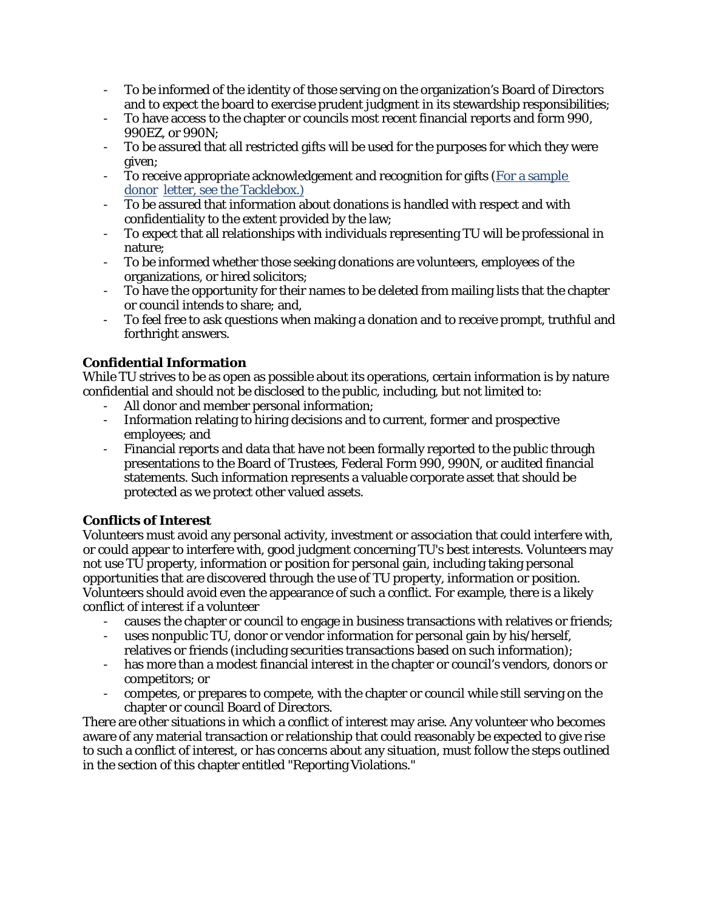- To be informed of the identity of those serving on the organization's Board of Directors and to expect the board to exercise prudent judgment in its stewardship responsibilities;
- To have access to the chapter or councils most recent financial reports and form 990, 990EZ, or 990N;
- To be assured that all restricted gifts will be used for the purposes for which they were given;
- To receive appropriate acknowledgement and recognition for gifts (For a [sample](http://new.tu.org/sites/default/files/BP_Donor_Letters.pdf?_ga=1.5029430.441180885.1444082971) [donor](http://new.tu.org/sites/default/files/BP_Donor_Letters.pdf?_ga=1.5029430.441180885.1444082971) letter, see the [Tacklebox.\)](http://new.tu.org/sites/default/files/BP_Donor_Letters.pdf?_ga=1.5029430.441180885.1444082971)
- To be assured that information about donations is handled with respect and with confidentiality to the extent provided by the law;
- To expect that all relationships with individuals representing TU will be professional in nature;
- To be informed whether those seeking donations are volunteers, employees of the organizations, or hired solicitors;
- To have the opportunity for their names to be deleted from mailing lists that the chapter or council intends to share; and,
- To feel free to ask questions when making a donation and to receive prompt, truthful and forthright answers.

# **Confidential Information**

While TU strives to be as open as possible about its operations, certain information is by nature confidential and should not be disclosed to the public, including, but not limited to:

- All donor and member personal information;
- Information relating to hiring decisions and to current, former and prospective employees; and
- Financial reports and data that have not been formally reported to the public through presentations to the Board of Trustees, Federal Form 990, 990N, or audited financial statements. Such information represents a valuable corporate asset that should be protected as we protect other valued assets.

# **Conflicts of Interest**

Volunteers must avoid any personal activity, investment or association that could interfere with, or could appear to interfere with, good judgment concerning TU's best interests. Volunteers may not use TU property, information or position for personal gain, including taking personal opportunities that are discovered through the use of TU property, information or position. Volunteers should avoid even the appearance of such a conflict. For example, there is a likely conflict of interest if a volunteer

- causes the chapter or council to engage in business transactions with relatives or friends;
- uses nonpublic TU, donor or vendor information for personal gain by his/herself, relatives or friends (including securities transactions based on such information);
- has more than a modest financial interest in the chapter or council's vendors, donors or competitors; or
- competes, or prepares to compete, with the chapter or council while still serving on the chapter or council Board of Directors.

There are other situations in which a conflict of interest may arise. Any volunteer who becomes aware of any material transaction or relationship that could reasonably be expected to give rise to such a conflict of interest, or has concerns about any situation, must follow the steps outlined in the section of this chapter entitled "Reporting Violations."